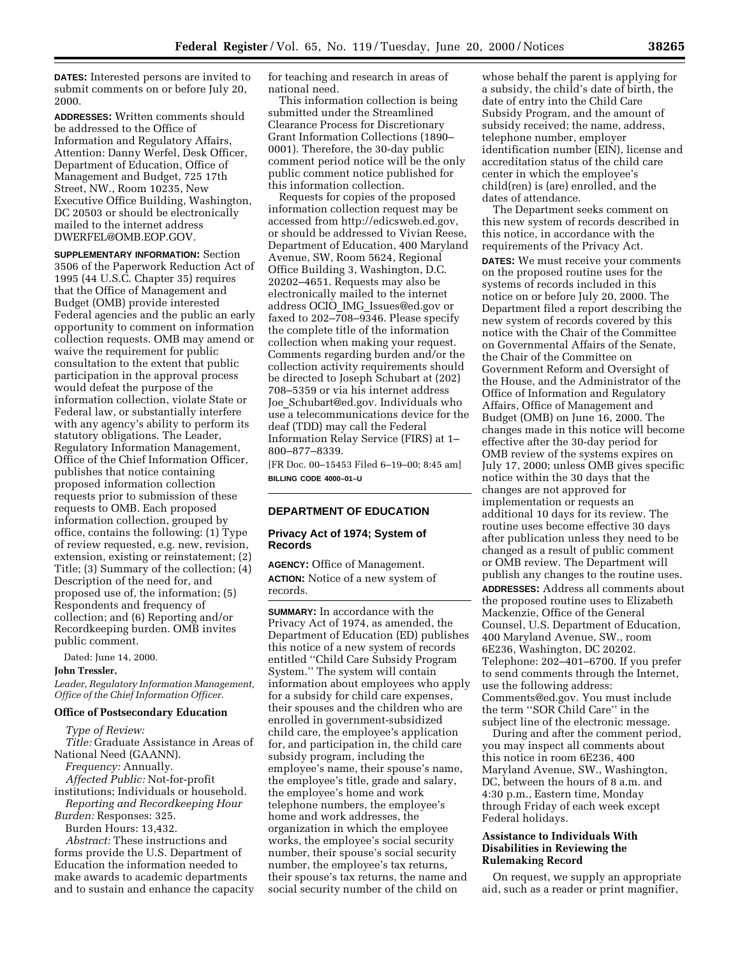**DATES:** Interested persons are invited to submit comments on or before July 20, 2000.

**ADDRESSES:** Written comments should be addressed to the Office of Information and Regulatory Affairs, Attention: Danny Werfel, Desk Officer, Department of Education, Office of Management and Budget, 725 17th Street, NW., Room 10235, New Executive Office Building, Washington, DC 20503 or should be electronically mailed to the internet address DWERFEL@OMB.EOP.GOV.

**SUPPLEMENTARY INFORMATION:** Section 3506 of the Paperwork Reduction Act of 1995 (44 U.S.C. Chapter 35) requires that the Office of Management and Budget (OMB) provide interested Federal agencies and the public an early opportunity to comment on information collection requests. OMB may amend or waive the requirement for public consultation to the extent that public participation in the approval process would defeat the purpose of the information collection, violate State or Federal law, or substantially interfere with any agency's ability to perform its statutory obligations. The Leader, Regulatory Information Management, Office of the Chief Information Officer, publishes that notice containing proposed information collection requests prior to submission of these requests to OMB. Each proposed information collection, grouped by office, contains the following: (1) Type of review requested, e.g. new, revision, extension, existing or reinstatement; (2) Title; (3) Summary of the collection; (4) Description of the need for, and proposed use of, the information; (5) Respondents and frequency of collection; and (6) Reporting and/or Recordkeeping burden. OMB invites public comment.

Dated: June 14, 2000.

**John Tressler,** 

*Leader, Regulatory Information Management, Office of the Chief Information Officer.* 

## **Office of Postsecondary Education**

*Type of Review: Title:* Graduate Assistance in Areas of National Need (GAANN). *Frequency:* Annually. *Affected Public:* Not-for-profit

institutions; Individuals or household. *Reporting and Recordkeeping Hour* 

*Burden:* Responses: 325.

Burden Hours: 13,432. *Abstract:* These instructions and

forms provide the U.S. Department of Education the information needed to make awards to academic departments and to sustain and enhance the capacity for teaching and research in areas of national need.

This information collection is being submitted under the Streamlined Clearance Process for Discretionary Grant Information Collections (1890– 0001). Therefore, the 30-day public comment period notice will be the only public comment notice published for this information collection.

Requests for copies of the proposed information collection request may be accessed from http://edicsweb.ed.gov, or should be addressed to Vivian Reese, Department of Education, 400 Maryland Avenue, SW, Room 5624, Regional Office Building 3, Washington, D.C. 20202–4651. Requests may also be electronically mailed to the internet address OCIO\_IMG\_Issues@ed.gov or faxed to 202–708–9346. Please specify the complete title of the information collection when making your request. Comments regarding burden and/or the collection activity requirements should be directed to Joseph Schubart at (202) 708–5359 or via his internet address Joe\_Schubart@ed.gov. Individuals who use a telecommunications device for the deaf (TDD) may call the Federal Information Relay Service (FIRS) at 1– 800–877–8339.

[FR Doc. 00–15453 Filed 6–19–00; 8:45 am] **BILLING CODE 4000–01–U** 

# **DEPARTMENT OF EDUCATION**

## **Privacy Act of 1974; System of Records**

**AGENCY:** Office of Management. **ACTION:** Notice of a new system of records.

**SUMMARY:** In accordance with the Privacy Act of 1974, as amended, the Department of Education (ED) publishes this notice of a new system of records entitled ''Child Care Subsidy Program System.'' The system will contain information about employees who apply for a subsidy for child care expenses, their spouses and the children who are enrolled in government-subsidized child care, the employee's application for, and participation in, the child care subsidy program, including the employee's name, their spouse's name, the employee's title, grade and salary, the employee's home and work telephone numbers, the employee's home and work addresses, the organization in which the employee works, the employee's social security number, their spouse's social security number, the employee's tax returns, their spouse's tax returns, the name and social security number of the child on

whose behalf the parent is applying for a subsidy, the child's date of birth, the date of entry into the Child Care Subsidy Program, and the amount of subsidy received; the name, address, telephone number, employer identification number (EIN), license and accreditation status of the child care center in which the employee's child(ren) is (are) enrolled, and the dates of attendance.

The Department seeks comment on this new system of records described in this notice, in accordance with the requirements of the Privacy Act. **DATES:** We must receive your comments on the proposed routine uses for the systems of records included in this notice on or before July 20, 2000. The Department filed a report describing the new system of records covered by this notice with the Chair of the Committee on Governmental Affairs of the Senate, the Chair of the Committee on Government Reform and Oversight of the House, and the Administrator of the Office of Information and Regulatory Affairs, Office of Management and Budget (OMB) on June 16, 2000. The changes made in this notice will become effective after the 30-day period for OMB review of the systems expires on July 17, 2000; unless OMB gives specific notice within the 30 days that the changes are not approved for implementation or requests an additional 10 days for its review. The routine uses become effective 30 days after publication unless they need to be changed as a result of public comment or OMB review. The Department will publish any changes to the routine uses. **ADDRESSES:** Address all comments about the proposed routine uses to Elizabeth Mackenzie, Office of the General Counsel, U.S. Department of Education, 400 Maryland Avenue, SW., room 6E236, Washington, DC 20202. Telephone: 202–401–6700. If you prefer to send comments through the Internet, use the following address: Comments@ed.gov. You must include the term ''SOR Child Care'' in the subject line of the electronic message.

During and after the comment period, you may inspect all comments about this notice in room 6E236, 400 Maryland Avenue, SW., Washington, DC, between the hours of 8 a.m. and 4:30 p.m., Eastern time, Monday through Friday of each week except Federal holidays.

# **Assistance to Individuals With Disabilities in Reviewing the Rulemaking Record**

On request, we supply an appropriate aid, such as a reader or print magnifier,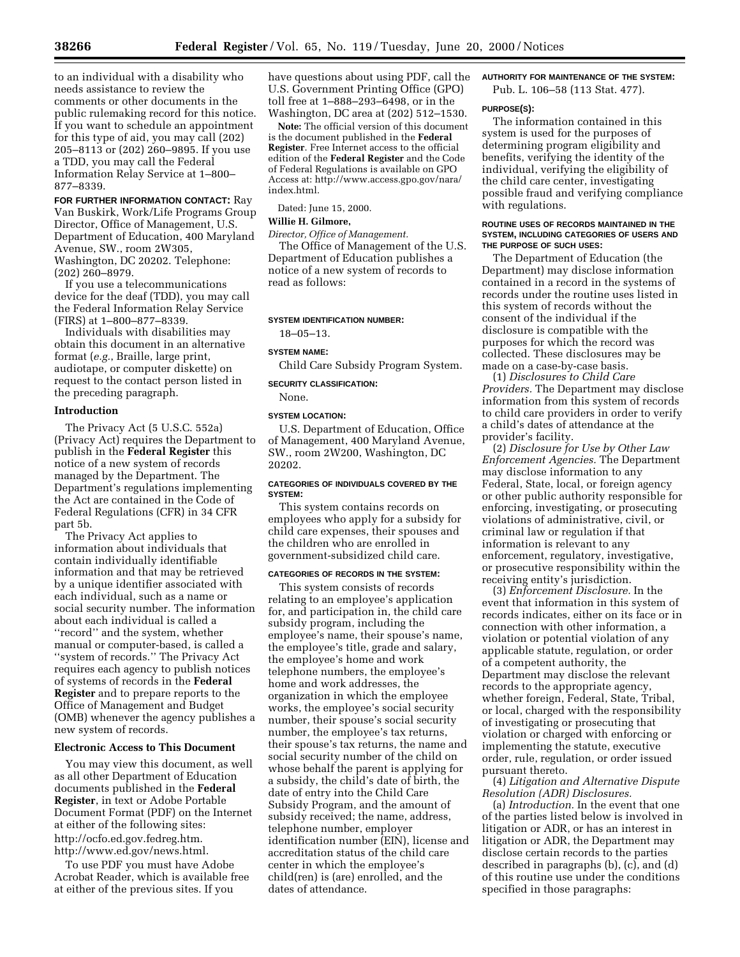to an individual with a disability who needs assistance to review the comments or other documents in the public rulemaking record for this notice. If you want to schedule an appointment for this type of aid, you may call (202) 205–8113 or (202) 260–9895. If you use a TDD, you may call the Federal Information Relay Service at 1–800– 877–8339.

**FOR FURTHER INFORMATION CONTACT:** Ray Van Buskirk, Work/Life Programs Group Director, Office of Management, U.S. Department of Education, 400 Maryland Avenue, SW., room 2W305, Washington, DC 20202. Telephone: (202) 260–8979.

If you use a telecommunications device for the deaf (TDD), you may call the Federal Information Relay Service (FIRS) at 1–800–877–8339.

Individuals with disabilities may obtain this document in an alternative format (*e.g.*, Braille, large print, audiotape, or computer diskette) on request to the contact person listed in the preceding paragraph.

#### **Introduction**

The Privacy Act (5 U.S.C. 552a) (Privacy Act) requires the Department to publish in the **Federal Register** this notice of a new system of records managed by the Department. The Department's regulations implementing the Act are contained in the Code of Federal Regulations (CFR) in 34 CFR part 5b.

The Privacy Act applies to information about individuals that contain individually identifiable information and that may be retrieved by a unique identifier associated with each individual, such as a name or social security number. The information about each individual is called a ''record'' and the system, whether manual or computer-based, is called a ''system of records.'' The Privacy Act requires each agency to publish notices of systems of records in the **Federal Register** and to prepare reports to the Office of Management and Budget (OMB) whenever the agency publishes a new system of records.

### **Electronic Access to This Document**

You may view this document, as well as all other Department of Education documents published in the **Federal Register**, in text or Adobe Portable Document Format (PDF) on the Internet at either of the following sites: http://ocfo.ed.gov.fedreg.htm. http://www.ed.gov/news.html.

To use PDF you must have Adobe Acrobat Reader, which is available free at either of the previous sites. If you

have questions about using PDF, call the U.S. Government Printing Office (GPO) toll free at 1–888–293–6498, or in the Washington, DC area at (202) 512–1530.

**Note:** The official version of this document is the document published in the **Federal Register**. Free Internet access to the official edition of the **Federal Register** and the Code of Federal Regulations is available on GPO Access at: http://www.access.gpo.gov/nara/ index.html.

Dated: June 15, 2000.

# **Willie H. Gilmore,**

read as follows:

*Director, Office of Management.*  The Office of Management of the U.S. Department of Education publishes a notice of a new system of records to

# **SYSTEM IDENTIFICATION NUMBER:**

# 18–05–13. **SYSTEM NAME:**

Child Care Subsidy Program System.

# **SECURITY CLASSIFICATION:**

# **SYSTEM LOCATION:**

None.

U.S. Department of Education, Office of Management, 400 Maryland Avenue, SW., room 2W200, Washington, DC 20202.

#### **CATEGORIES OF INDIVIDUALS COVERED BY THE SYSTEM:**

This system contains records on employees who apply for a subsidy for child care expenses, their spouses and the children who are enrolled in government-subsidized child care.

#### **CATEGORIES OF RECORDS IN THE SYSTEM:**

This system consists of records relating to an employee's application for, and participation in, the child care subsidy program, including the employee's name, their spouse's name, the employee's title, grade and salary, the employee's home and work telephone numbers, the employee's home and work addresses, the organization in which the employee works, the employee's social security number, their spouse's social security number, the employee's tax returns, their spouse's tax returns, the name and social security number of the child on whose behalf the parent is applying for a subsidy, the child's date of birth, the date of entry into the Child Care Subsidy Program, and the amount of subsidy received; the name, address, telephone number, employer identification number (EIN), license and accreditation status of the child care center in which the employee's child(ren) is (are) enrolled, and the dates of attendance.

# **AUTHORITY FOR MAINTENANCE OF THE SYSTEM:**

Pub. L. 106–58 (113 Stat. 477).

### **PURPOSE(S):**

The information contained in this system is used for the purposes of determining program eligibility and benefits, verifying the identity of the individual, verifying the eligibility of the child care center, investigating possible fraud and verifying compliance with regulations.

#### **ROUTINE USES OF RECORDS MAINTAINED IN THE SYSTEM, INCLUDING CATEGORIES OF USERS AND THE PURPOSE OF SUCH USES:**

The Department of Education (the Department) may disclose information contained in a record in the systems of records under the routine uses listed in this system of records without the consent of the individual if the disclosure is compatible with the purposes for which the record was collected. These disclosures may be made on a case-by-case basis.

(1) *Disclosures to Child Care Providers.* The Department may disclose information from this system of records to child care providers in order to verify a child's dates of attendance at the provider's facility.

(2) *Disclosure for Use by Other Law Enforcement Agencies.* The Department may disclose information to any Federal, State, local, or foreign agency or other public authority responsible for enforcing, investigating, or prosecuting violations of administrative, civil, or criminal law or regulation if that information is relevant to any enforcement, regulatory, investigative, or prosecutive responsibility within the receiving entity's jurisdiction.

(3) *Enforcement Disclosure.* In the event that information in this system of records indicates, either on its face or in connection with other information, a violation or potential violation of any applicable statute, regulation, or order of a competent authority, the Department may disclose the relevant records to the appropriate agency, whether foreign, Federal, State, Tribal, or local, charged with the responsibility of investigating or prosecuting that violation or charged with enforcing or implementing the statute, executive order, rule, regulation, or order issued pursuant thereto.

## (4) *Litigation and Alternative Dispute Resolution (ADR) Disclosures.*

(a) *Introduction.* In the event that one of the parties listed below is involved in litigation or ADR, or has an interest in litigation or ADR, the Department may disclose certain records to the parties described in paragraphs (b), (c), and (d) of this routine use under the conditions specified in those paragraphs: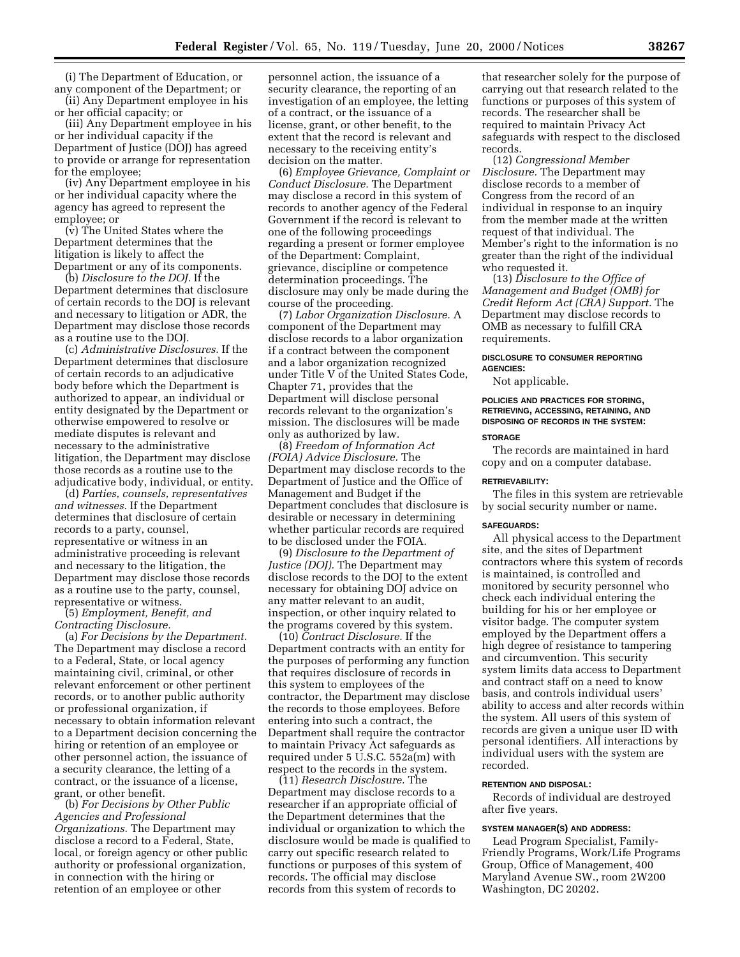(i) The Department of Education, or any component of the Department; or

(ii) Any Department employee in his or her official capacity; or (iii) Any Department employee in his

or her individual capacity if the Department of Justice (DOJ) has agreed to provide or arrange for representation for the employee;

(iv) Any Department employee in his or her individual capacity where the agency has agreed to represent the employee; or

(v) The United States where the Department determines that the litigation is likely to affect the Department or any of its components.

(b) *Disclosure to the DOJ.* If the Department determines that disclosure of certain records to the DOJ is relevant and necessary to litigation or ADR, the Department may disclose those records as a routine use to the DOJ.

(c) *Administrative Disclosures.* If the Department determines that disclosure of certain records to an adjudicative body before which the Department is authorized to appear, an individual or entity designated by the Department or otherwise empowered to resolve or mediate disputes is relevant and necessary to the administrative litigation, the Department may disclose those records as a routine use to the adjudicative body, individual, or entity.

(d) *Parties, counsels, representatives and witnesses.* If the Department determines that disclosure of certain records to a party, counsel, representative or witness in an administrative proceeding is relevant and necessary to the litigation, the Department may disclose those records as a routine use to the party, counsel, representative or witness.

(5) *Employment, Benefit, and Contracting Disclosure.* 

(a) *For Decisions by the Department.*  The Department may disclose a record to a Federal, State, or local agency maintaining civil, criminal, or other relevant enforcement or other pertinent records, or to another public authority or professional organization, if necessary to obtain information relevant to a Department decision concerning the hiring or retention of an employee or other personnel action, the issuance of a security clearance, the letting of a contract, or the issuance of a license, grant, or other benefit.

(b) *For Decisions by Other Public Agencies and Professional Organizations.* The Department may disclose a record to a Federal, State, local, or foreign agency or other public authority or professional organization, in connection with the hiring or retention of an employee or other

personnel action, the issuance of a security clearance, the reporting of an investigation of an employee, the letting of a contract, or the issuance of a license, grant, or other benefit, to the extent that the record is relevant and necessary to the receiving entity's decision on the matter.

(6) *Employee Grievance, Complaint or Conduct Disclosure.* The Department may disclose a record in this system of records to another agency of the Federal Government if the record is relevant to one of the following proceedings regarding a present or former employee of the Department: Complaint, grievance, discipline or competence determination proceedings. The disclosure may only be made during the course of the proceeding.

(7) *Labor Organization Disclosure.* A component of the Department may disclose records to a labor organization if a contract between the component and a labor organization recognized under Title V of the United States Code, Chapter 71, provides that the Department will disclose personal records relevant to the organization's mission. The disclosures will be made only as authorized by law.

(8) *Freedom of Information Act (FOIA) Advice Disclosure.* The Department may disclose records to the Department of Justice and the Office of Management and Budget if the Department concludes that disclosure is desirable or necessary in determining whether particular records are required to be disclosed under the FOIA.

(9) *Disclosure to the Department of Justice (DOJ).* The Department may disclose records to the DOJ to the extent necessary for obtaining DOJ advice on any matter relevant to an audit, inspection, or other inquiry related to the programs covered by this system.

(10) *Contract Disclosure.* If the Department contracts with an entity for the purposes of performing any function that requires disclosure of records in this system to employees of the contractor, the Department may disclose the records to those employees. Before entering into such a contract, the Department shall require the contractor to maintain Privacy Act safeguards as required under 5 U.S.C. 552a(m) with respect to the records in the system.

(11) *Research Disclosure.* The Department may disclose records to a researcher if an appropriate official of the Department determines that the individual or organization to which the disclosure would be made is qualified to carry out specific research related to functions or purposes of this system of records. The official may disclose records from this system of records to

that researcher solely for the purpose of carrying out that research related to the functions or purposes of this system of records. The researcher shall be required to maintain Privacy Act safeguards with respect to the disclosed records.

(12) *Congressional Member Disclosure.* The Department may disclose records to a member of Congress from the record of an individual in response to an inquiry from the member made at the written request of that individual. The Member's right to the information is no greater than the right of the individual who requested it.

(13) *Disclosure to the Office of Management and Budget (OMB) for Credit Reform Act (CRA) Support.* The Department may disclose records to OMB as necessary to fulfill CRA requirements.

#### **DISCLOSURE TO CONSUMER REPORTING AGENCIES:**

Not applicable.

# **POLICIES AND PRACTICES FOR STORING, RETRIEVING, ACCESSING, RETAINING, AND DISPOSING OF RECORDS IN THE SYSTEM:**

## **STORAGE**

The records are maintained in hard copy and on a computer database.

#### **RETRIEVABILITY:**

The files in this system are retrievable by social security number or name.

#### **SAFEGUARDS:**

All physical access to the Department site, and the sites of Department contractors where this system of records is maintained, is controlled and monitored by security personnel who check each individual entering the building for his or her employee or visitor badge. The computer system employed by the Department offers a high degree of resistance to tampering and circumvention. This security system limits data access to Department and contract staff on a need to know basis, and controls individual users' ability to access and alter records within the system. All users of this system of records are given a unique user ID with personal identifiers. All interactions by individual users with the system are recorded.

#### **RETENTION AND DISPOSAL:**

Records of individual are destroyed after five years.

#### **SYSTEM MANAGER(S) AND ADDRESS:**

Lead Program Specialist, Family-Friendly Programs, Work/Life Programs Group, Office of Management, 400 Maryland Avenue SW., room 2W200 Washington, DC 20202.